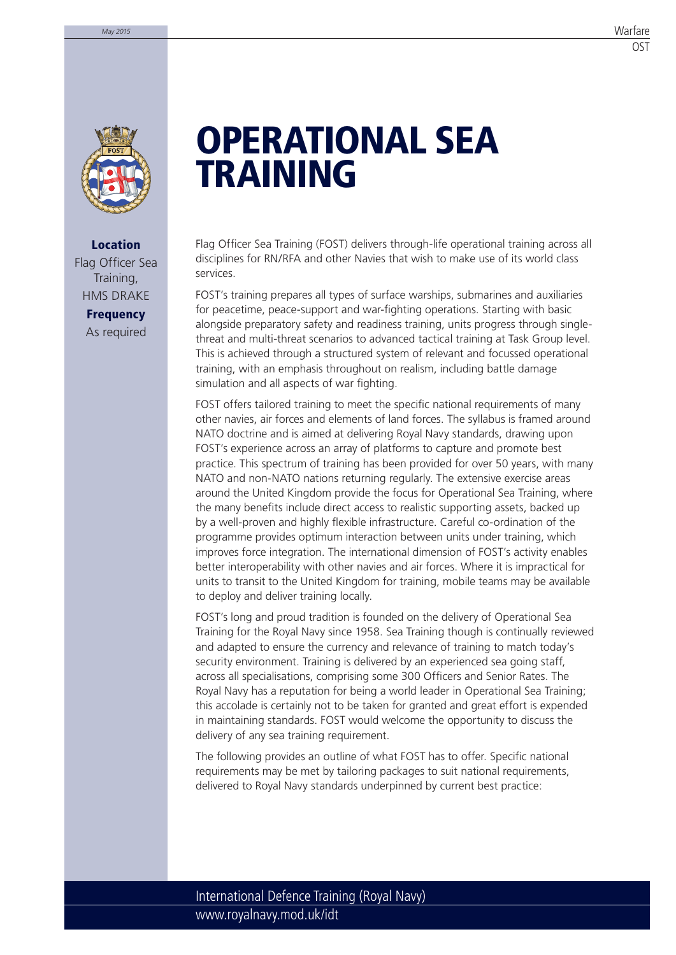



**Location** Flag Officer Sea Training, HMS DRAKE

> **Frequency** As required

## **OPERATIONAL SEA TRAINING**

Flag Officer Sea Training (FOST) delivers through-life operational training across all disciplines for RN/RFA and other Navies that wish to make use of its world class services.

FOST's training prepares all types of surface warships, submarines and auxiliaries for peacetime, peace-support and war-fighting operations. Starting with basic alongside preparatory safety and readiness training, units progress through singlethreat and multi-threat scenarios to advanced tactical training at Task Group level. This is achieved through a structured system of relevant and focussed operational training, with an emphasis throughout on realism, including battle damage simulation and all aspects of war fighting.

FOST offers tailored training to meet the specific national requirements of many other navies, air forces and elements of land forces. The syllabus is framed around NATO doctrine and is aimed at delivering Royal Navy standards, drawing upon FOST's experience across an array of platforms to capture and promote best practice. This spectrum of training has been provided for over 50 years, with many NATO and non-NATO nations returning regularly. The extensive exercise areas around the United Kingdom provide the focus for Operational Sea Training, where the many benefits include direct access to realistic supporting assets, backed up by a well-proven and highly flexible infrastructure. Careful co-ordination of the programme provides optimum interaction between units under training, which improves force integration. The international dimension of FOST's activity enables better interoperability with other navies and air forces. Where it is impractical for units to transit to the United Kingdom for training, mobile teams may be available to deploy and deliver training locally.

FOST's long and proud tradition is founded on the delivery of Operational Sea Training for the Royal Navy since 1958. Sea Training though is continually reviewed and adapted to ensure the currency and relevance of training to match today's security environment. Training is delivered by an experienced sea going staff, across all specialisations, comprising some 300 Officers and Senior Rates. The Royal Navy has a reputation for being a world leader in Operational Sea Training; this accolade is certainly not to be taken for granted and great effort is expended in maintaining standards. FOST would welcome the opportunity to discuss the delivery of any sea training requirement.

The following provides an outline of what FOST has to offer. Specific national requirements may be met by tailoring packages to suit national requirements, delivered to Royal Navy standards underpinned by current best practice: